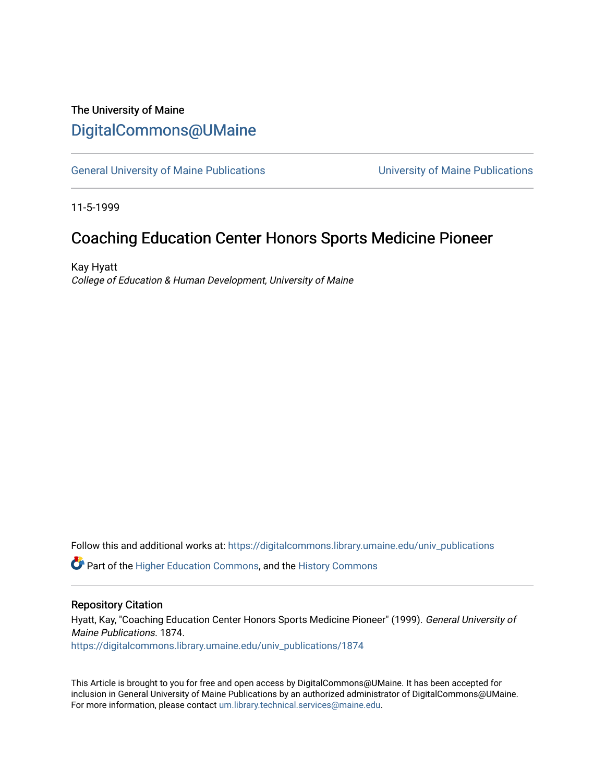## The University of Maine [DigitalCommons@UMaine](https://digitalcommons.library.umaine.edu/)

[General University of Maine Publications](https://digitalcommons.library.umaine.edu/univ_publications) [University of Maine Publications](https://digitalcommons.library.umaine.edu/umaine_publications) 

11-5-1999

## Coaching Education Center Honors Sports Medicine Pioneer

Kay Hyatt College of Education & Human Development, University of Maine

Follow this and additional works at: [https://digitalcommons.library.umaine.edu/univ\\_publications](https://digitalcommons.library.umaine.edu/univ_publications?utm_source=digitalcommons.library.umaine.edu%2Funiv_publications%2F1874&utm_medium=PDF&utm_campaign=PDFCoverPages) 

**C** Part of the [Higher Education Commons,](http://network.bepress.com/hgg/discipline/1245?utm_source=digitalcommons.library.umaine.edu%2Funiv_publications%2F1874&utm_medium=PDF&utm_campaign=PDFCoverPages) and the [History Commons](http://network.bepress.com/hgg/discipline/489?utm_source=digitalcommons.library.umaine.edu%2Funiv_publications%2F1874&utm_medium=PDF&utm_campaign=PDFCoverPages)

#### Repository Citation

Hyatt, Kay, "Coaching Education Center Honors Sports Medicine Pioneer" (1999). General University of Maine Publications. 1874. [https://digitalcommons.library.umaine.edu/univ\\_publications/1874](https://digitalcommons.library.umaine.edu/univ_publications/1874?utm_source=digitalcommons.library.umaine.edu%2Funiv_publications%2F1874&utm_medium=PDF&utm_campaign=PDFCoverPages)

This Article is brought to you for free and open access by DigitalCommons@UMaine. It has been accepted for inclusion in General University of Maine Publications by an authorized administrator of DigitalCommons@UMaine. For more information, please contact [um.library.technical.services@maine.edu](mailto:um.library.technical.services@maine.edu).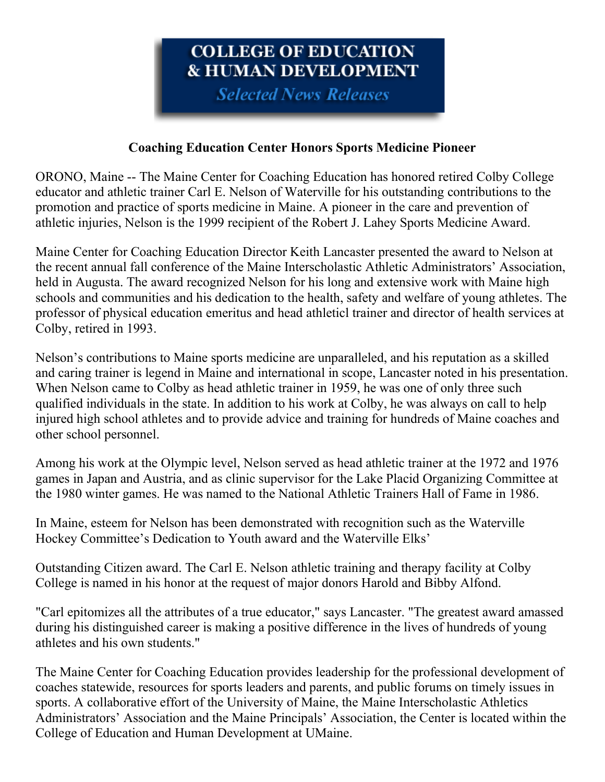# COLLEGE OF EDlJCATIOX **& HUMAN DEVELOPMENT**

**Selected News Releases** 

### **Coaching Education Center Honors Sports Medicine Pioneer**

ORONO, Maine -- The Maine Center for Coaching Education has honored retired Colby College educator and athletic trainer Carl E. Nelson of Waterville for his outstanding contributions to the promotion and practice of sports medicine in Maine. A pioneer in the care and prevention of athletic injuries, Nelson is the 1999 recipient of the Robert J. Lahey Sports Medicine Award.

Maine Center for Coaching Education Director Keith Lancaster presented the award to Nelson at the recent annual fall conference of the Maine Interscholastic Athletic Administrators' Association, held in Augusta. The award recognized Nelson for his long and extensive work with Maine high schools and communities and his dedication to the health, safety and welfare of young athletes. The professor of physical education emeritus and head athleticl trainer and director of health services at Colby, retired in 1993.

Nelson's contributions to Maine sports medicine are unparalleled, and his reputation as a skilled and caring trainer is legend in Maine and international in scope, Lancaster noted in his presentation. When Nelson came to Colby as head athletic trainer in 1959, he was one of only three such qualified individuals in the state. In addition to his work at Colby, he was always on call to help injured high school athletes and to provide advice and training for hundreds of Maine coaches and other school personnel.

Among his work at the Olympic level, Nelson served as head athletic trainer at the 1972 and 1976 games in Japan and Austria, and as clinic supervisor for the Lake Placid Organizing Committee at the 1980 winter games. He was named to the National Athletic Trainers Hall of Fame in 1986.

In Maine, esteem for Nelson has been demonstrated with recognition such as the Waterville Hockey Committee's Dedication to Youth award and the Waterville Elks'

Outstanding Citizen award. The Carl E. Nelson athletic training and therapy facility at Colby College is named in his honor at the request of major donors Harold and Bibby Alfond.

"Carl epitomizes all the attributes of a true educator," says Lancaster. "The greatest award amassed during his distinguished career is making a positive difference in the lives of hundreds of young athletes and his own students."

The Maine Center for Coaching Education provides leadership for the professional development of coaches statewide, resources for sports leaders and parents, and public forums on timely issues in sports. A collaborative effort of the University of Maine, the Maine Interscholastic Athletics Administrators' Association and the Maine Principals' Association, the Center is located within the College of Education and Human Development at UMaine.